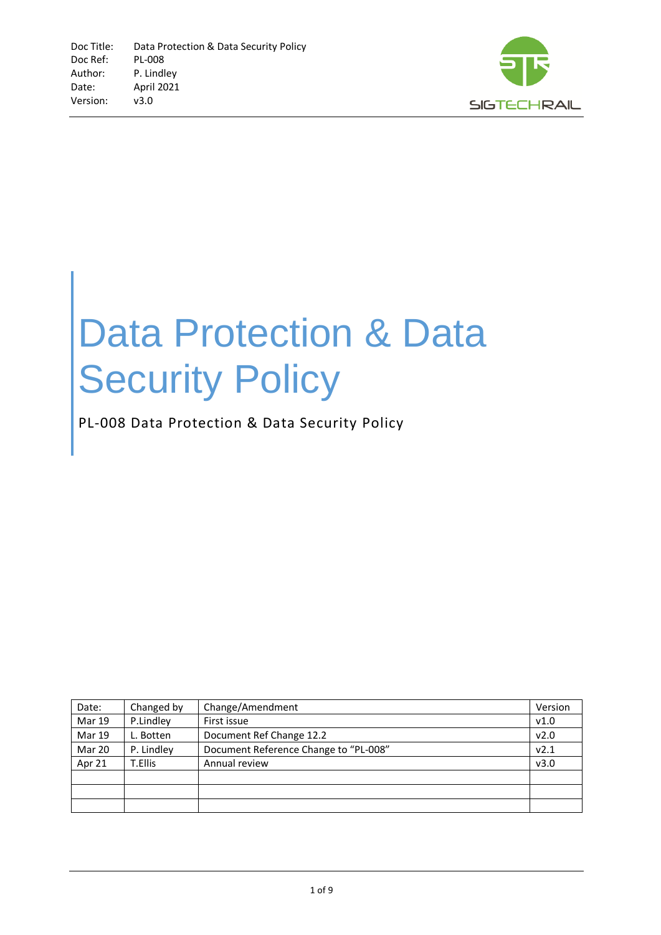

# Data Protection & Data **Security Policy**

PL-008 Data Protection & Data Security Policy

| Date:         | Changed by | Change/Amendment                      | Version |
|---------------|------------|---------------------------------------|---------|
| <b>Mar 19</b> | P.Lindley  | First issue                           | v1.0    |
| <b>Mar 19</b> | L. Botten  | Document Ref Change 12.2              | v2.0    |
| Mar 20        | P. Lindley | Document Reference Change to "PL-008" | v2.1    |
| Apr 21        | T.Ellis    | Annual review                         | v3.0    |
|               |            |                                       |         |
|               |            |                                       |         |
|               |            |                                       |         |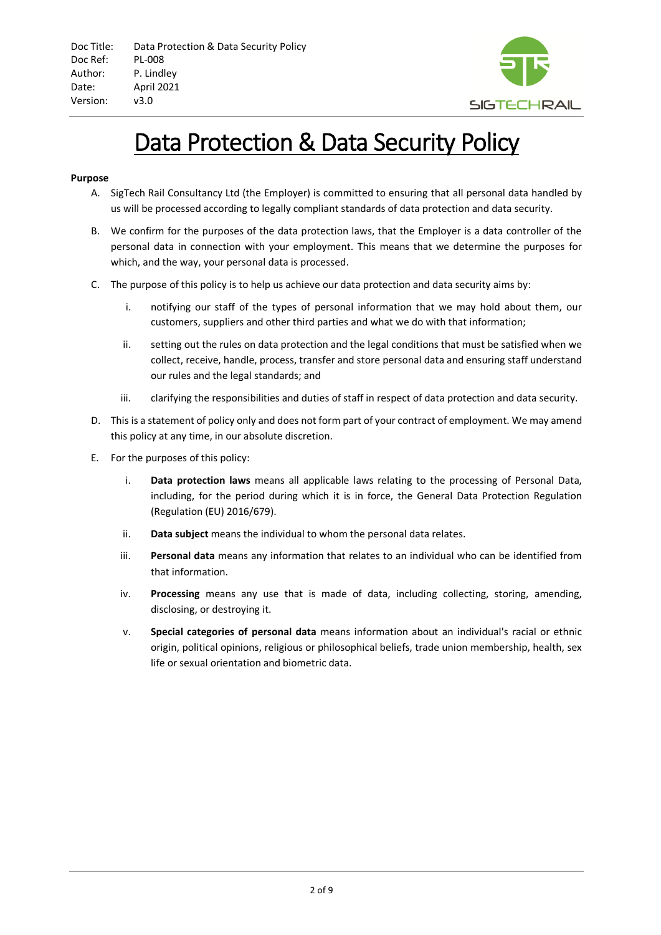

# Data Protection & Data Security Policy

#### **Purpose**

- A. SigTech Rail Consultancy Ltd (the Employer) is committed to ensuring that all personal data handled by us will be processed according to legally compliant standards of data protection and data security.
- B. We confirm for the purposes of the data protection laws, that the Employer is a data controller of the personal data in connection with your employment. This means that we determine the purposes for which, and the way, your personal data is processed.
- C. The purpose of this policy is to help us achieve our data protection and data security aims by:
	- i. notifying our staff of the types of personal information that we may hold about them, our customers, suppliers and other third parties and what we do with that information;
	- ii. setting out the rules on data protection and the legal conditions that must be satisfied when we collect, receive, handle, process, transfer and store personal data and ensuring staff understand our rules and the legal standards; and
	- iii. clarifying the responsibilities and duties of staff in respect of data protection and data security.
- D. This is a statement of policy only and does not form part of your contract of employment. We may amend this policy at any time, in our absolute discretion.
- E. For the purposes of this policy:
	- i. **Data protection laws** means all applicable laws relating to the processing of Personal Data, including, for the period during which it is in force, the General Data Protection Regulation (Regulation (EU) 2016/679).
	- ii. **Data subject** means the individual to whom the personal data relates.
	- iii. **Personal data** means any information that relates to an individual who can be identified from that information.
	- iv. **Processing** means any use that is made of data, including collecting, storing, amending, disclosing, or destroying it.
	- v. **Special categories of personal data** means information about an individual's racial or ethnic origin, political opinions, religious or philosophical beliefs, trade union membership, health, sex life or sexual orientation and biometric data.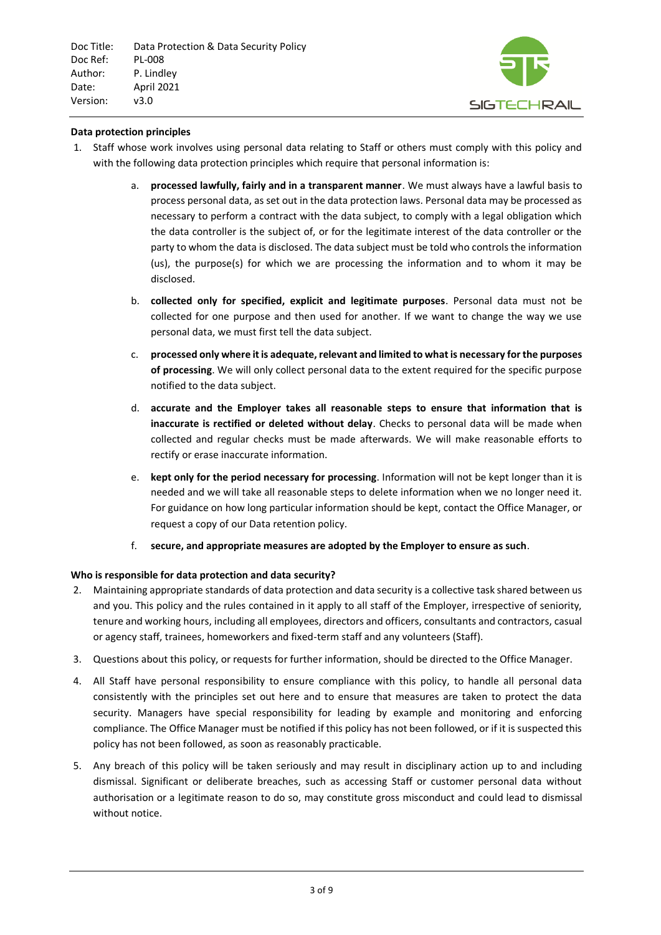

# **Data protection principles**

- 1. Staff whose work involves using personal data relating to Staff or others must comply with this policy and with the following data protection principles which require that personal information is:
	- a. **processed lawfully, fairly and in a transparent manner**. We must always have a lawful basis to process personal data, as set out in the data protection laws. Personal data may be processed as necessary to perform a contract with the data subject, to comply with a legal obligation which the data controller is the subject of, or for the legitimate interest of the data controller or the party to whom the data is disclosed. The data subject must be told who controls the information (us), the purpose(s) for which we are processing the information and to whom it may be disclosed.
	- b. **collected only for specified, explicit and legitimate purposes**. Personal data must not be collected for one purpose and then used for another. If we want to change the way we use personal data, we must first tell the data subject.
	- c. **processed only where it is adequate, relevant and limited to what is necessary for the purposes of processing**. We will only collect personal data to the extent required for the specific purpose notified to the data subject.
	- d. **accurate and the Employer takes all reasonable steps to ensure that information that is inaccurate is rectified or deleted without delay**. Checks to personal data will be made when collected and regular checks must be made afterwards. We will make reasonable efforts to rectify or erase inaccurate information.
	- e. **kept only for the period necessary for processing**. Information will not be kept longer than it is needed and we will take all reasonable steps to delete information when we no longer need it. For guidance on how long particular information should be kept, contact the Office Manager, or request a copy of our Data retention policy.
	- f. **secure, and appropriate measures are adopted by the Employer to ensure as such**.

# **Who is responsible for data protection and data security?**

- 2. Maintaining appropriate standards of data protection and data security is a collective task shared between us and you. This policy and the rules contained in it apply to all staff of the Employer, irrespective of seniority, tenure and working hours, including all employees, directors and officers, consultants and contractors, casual or agency staff, trainees, homeworkers and fixed-term staff and any volunteers (Staff).
- 3. Questions about this policy, or requests for further information, should be directed to the Office Manager.
- 4. All Staff have personal responsibility to ensure compliance with this policy, to handle all personal data consistently with the principles set out here and to ensure that measures are taken to protect the data security. Managers have special responsibility for leading by example and monitoring and enforcing compliance. The Office Manager must be notified if this policy has not been followed, or if it is suspected this policy has not been followed, as soon as reasonably practicable.
- 5. Any breach of this policy will be taken seriously and may result in disciplinary action up to and including dismissal. Significant or deliberate breaches, such as accessing Staff or customer personal data without authorisation or a legitimate reason to do so, may constitute gross misconduct and could lead to dismissal without notice.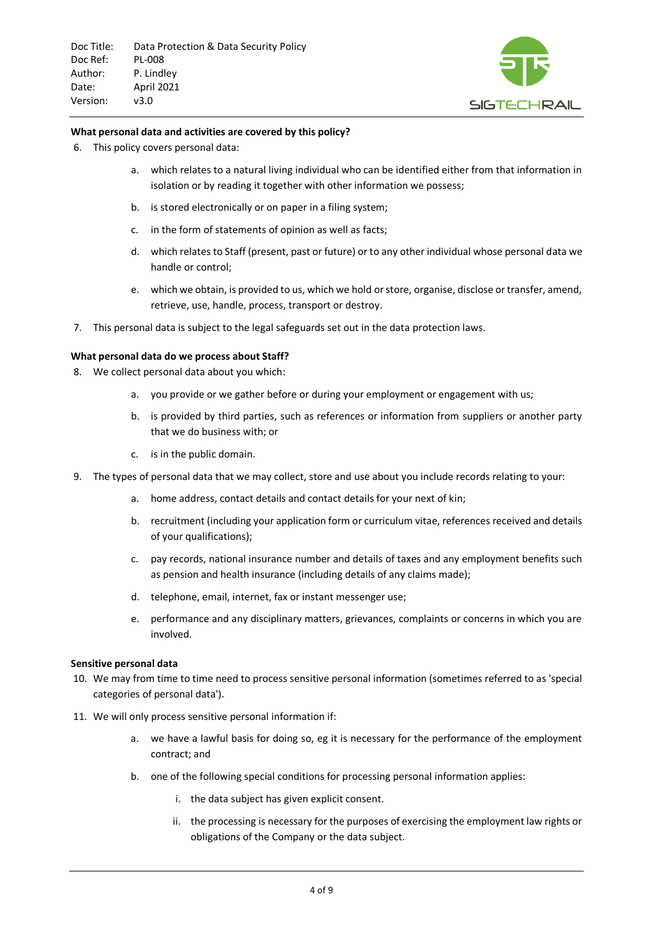

#### **What personal data and activities are covered by this policy?**

- 6. This policy covers personal data:
	- a. which relates to a natural living individual who can be identified either from that information in isolation or by reading it together with other information we possess;
	- b. is stored electronically or on paper in a filing system;
	- c. in the form of statements of opinion as well as facts;
	- d. which relates to Staff (present, past or future) or to any other individual whose personal data we handle or control;
	- e. which we obtain, is provided to us, which we hold or store, organise, disclose or transfer, amend, retrieve, use, handle, process, transport or destroy.
- 7. This personal data is subject to the legal safeguards set out in the data protection laws.

#### **What personal data do we process about Staff?**

- 8. We collect personal data about you which:
	- a. you provide or we gather before or during your employment or engagement with us;
	- b. is provided by third parties, such as references or information from suppliers or another party that we do business with; or
	- c. is in the public domain.
- 9. The types of personal data that we may collect, store and use about you include records relating to your:
	- a. home address, contact details and contact details for your next of kin;
	- b. recruitment (including your application form or curriculum vitae, references received and details of your qualifications);
	- c. pay records, national insurance number and details of taxes and any employment benefits such as pension and health insurance (including details of any claims made);
	- d. telephone, email, internet, fax or instant messenger use;
	- e. performance and any disciplinary matters, grievances, complaints or concerns in which you are involved.

#### **Sensitive personal data**

- 10. We may from time to time need to process sensitive personal information (sometimes referred to as 'special categories of personal data').
- 11. We will only process sensitive personal information if:
	- a. we have a lawful basis for doing so, eg it is necessary for the performance of the employment contract; and
	- b. one of the following special conditions for processing personal information applies:
		- i. the data subject has given explicit consent.
		- ii. the processing is necessary for the purposes of exercising the employment law rights or obligations of the Company or the data subject.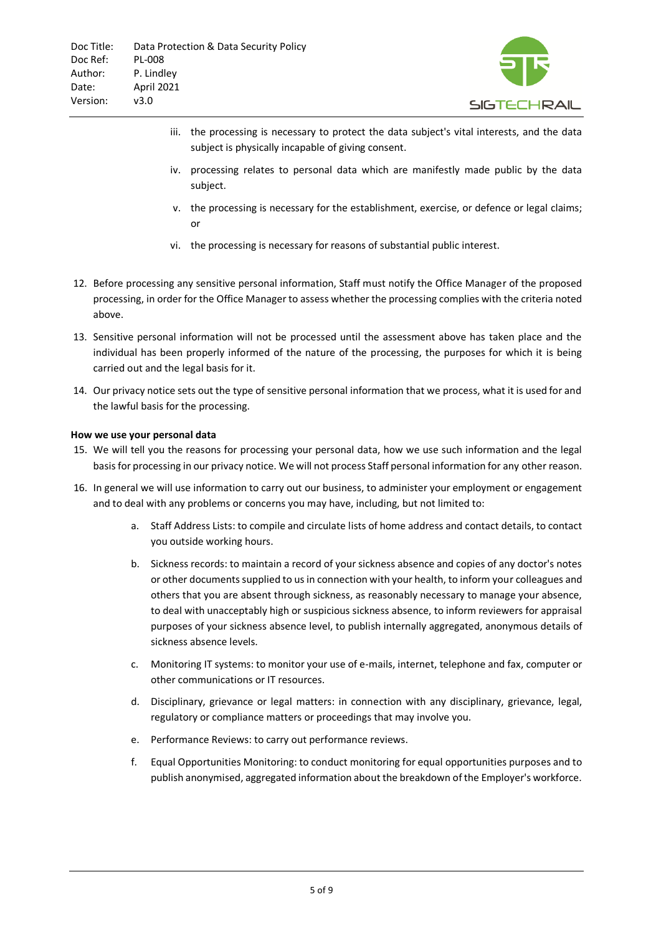

- iii. the processing is necessary to protect the data subject's vital interests, and the data subject is physically incapable of giving consent.
- iv. processing relates to personal data which are manifestly made public by the data subject.
- v. the processing is necessary for the establishment, exercise, or defence or legal claims; or
- vi. the processing is necessary for reasons of substantial public interest.
- 12. Before processing any sensitive personal information, Staff must notify the Office Manager of the proposed processing, in order for the Office Manager to assess whether the processing complies with the criteria noted above.
- 13. Sensitive personal information will not be processed until the assessment above has taken place and the individual has been properly informed of the nature of the processing, the purposes for which it is being carried out and the legal basis for it.
- 14. Our privacy notice sets out the type of sensitive personal information that we process, what it is used for and the lawful basis for the processing.

# **How we use your personal data**

- 15. We will tell you the reasons for processing your personal data, how we use such information and the legal basis for processing in our privacy notice. We will not process Staff personal information for any other reason.
- 16. In general we will use information to carry out our business, to administer your employment or engagement and to deal with any problems or concerns you may have, including, but not limited to:
	- a. Staff Address Lists: to compile and circulate lists of home address and contact details, to contact you outside working hours.
	- b. Sickness records: to maintain a record of your sickness absence and copies of any doctor's notes or other documents supplied to us in connection with your health, to inform your colleagues and others that you are absent through sickness, as reasonably necessary to manage your absence, to deal with unacceptably high or suspicious sickness absence, to inform reviewers for appraisal purposes of your sickness absence level, to publish internally aggregated, anonymous details of sickness absence levels.
	- c. Monitoring IT systems: to monitor your use of e-mails, internet, telephone and fax, computer or other communications or IT resources.
	- d. Disciplinary, grievance or legal matters: in connection with any disciplinary, grievance, legal, regulatory or compliance matters or proceedings that may involve you.
	- e. Performance Reviews: to carry out performance reviews.
	- f. Equal Opportunities Monitoring: to conduct monitoring for equal opportunities purposes and to publish anonymised, aggregated information about the breakdown of the Employer's workforce.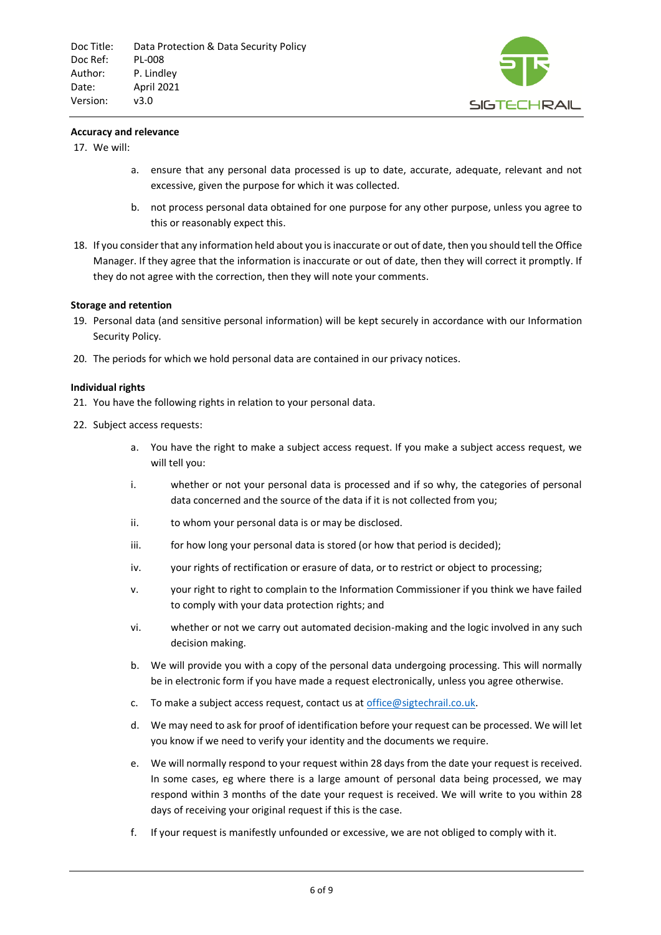

#### **Accuracy and relevance**

17. We will:

- a. ensure that any personal data processed is up to date, accurate, adequate, relevant and not excessive, given the purpose for which it was collected.
- b. not process personal data obtained for one purpose for any other purpose, unless you agree to this or reasonably expect this.
- 18. If you consider that any information held about you is inaccurate or out of date, then you should tell the Office Manager. If they agree that the information is inaccurate or out of date, then they will correct it promptly. If they do not agree with the correction, then they will note your comments.

#### **Storage and retention**

- 19. Personal data (and sensitive personal information) will be kept securely in accordance with our Information Security Policy.
- 20. The periods for which we hold personal data are contained in our privacy notices.

#### **Individual rights**

- 21. You have the following rights in relation to your personal data.
- 22. Subject access requests:
	- a. You have the right to make a subject access request. If you make a subject access request, we will tell you:
	- i. whether or not your personal data is processed and if so why, the categories of personal data concerned and the source of the data if it is not collected from you;
	- ii. to whom your personal data is or may be disclosed.
	- iii. for how long your personal data is stored (or how that period is decided);
	- iv. your rights of rectification or erasure of data, or to restrict or object to processing;
	- v. your right to right to complain to the Information Commissioner if you think we have failed to comply with your data protection rights; and
	- vi. whether or not we carry out automated decision-making and the logic involved in any such decision making.
	- b. We will provide you with a copy of the personal data undergoing processing. This will normally be in electronic form if you have made a request electronically, unless you agree otherwise.
	- c. To make a subject access request, contact us at [office@sigtechrail.co.uk.](mailto:office@sigtechrail.co.uk)
	- d. We may need to ask for proof of identification before your request can be processed. We will let you know if we need to verify your identity and the documents we require.
	- e. We will normally respond to your request within 28 days from the date your request is received. In some cases, eg where there is a large amount of personal data being processed, we may respond within 3 months of the date your request is received. We will write to you within 28 days of receiving your original request if this is the case.
	- f. If your request is manifestly unfounded or excessive, we are not obliged to comply with it.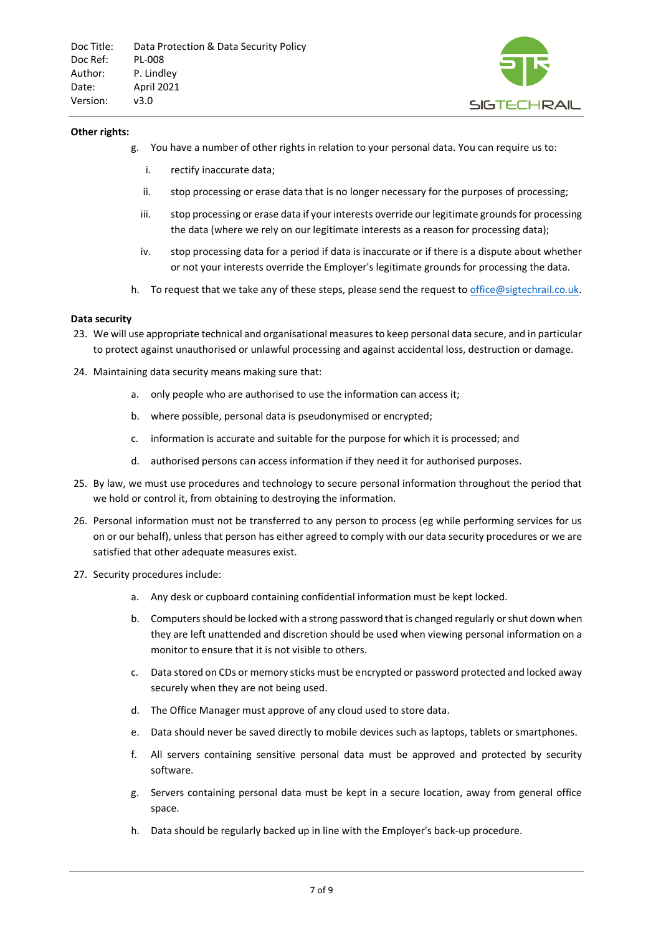

#### **Other rights:**

- g. You have a number of other rights in relation to your personal data. You can require us to:
	- i. rectify inaccurate data;
	- ii. stop processing or erase data that is no longer necessary for the purposes of processing;
	- iii. stop processing or erase data if your interests override our legitimate grounds for processing the data (where we rely on our legitimate interests as a reason for processing data);
	- iv. stop processing data for a period if data is inaccurate or if there is a dispute about whether or not your interests override the Employer's legitimate grounds for processing the data.
- h. To request that we take any of these steps, please send the request t[o office@sigtechrail.co.uk.](mailto:office@sigtechrail.co.uk)

#### **Data security**

- 23. We will use appropriate technical and organisational measures to keep personal data secure, and in particular to protect against unauthorised or unlawful processing and against accidental loss, destruction or damage.
- 24. Maintaining data security means making sure that:
	- a. only people who are authorised to use the information can access it;
	- b. where possible, personal data is pseudonymised or encrypted;
	- c. information is accurate and suitable for the purpose for which it is processed; and
	- d. authorised persons can access information if they need it for authorised purposes.
- 25. By law, we must use procedures and technology to secure personal information throughout the period that we hold or control it, from obtaining to destroying the information.
- 26. Personal information must not be transferred to any person to process (eg while performing services for us on or our behalf), unless that person has either agreed to comply with our data security procedures or we are satisfied that other adequate measures exist.
- 27. Security procedures include:
	- a. Any desk or cupboard containing confidential information must be kept locked.
	- b. Computers should be locked with a strong password that is changed regularly or shut down when they are left unattended and discretion should be used when viewing personal information on a monitor to ensure that it is not visible to others.
	- c. Data stored on CDs or memory sticks must be encrypted or password protected and locked away securely when they are not being used.
	- d. The Office Manager must approve of any cloud used to store data.
	- e. Data should never be saved directly to mobile devices such as laptops, tablets or smartphones.
	- f. All servers containing sensitive personal data must be approved and protected by security software.
	- g. Servers containing personal data must be kept in a secure location, away from general office space.
	- h. Data should be regularly backed up in line with the Employer's back-up procedure.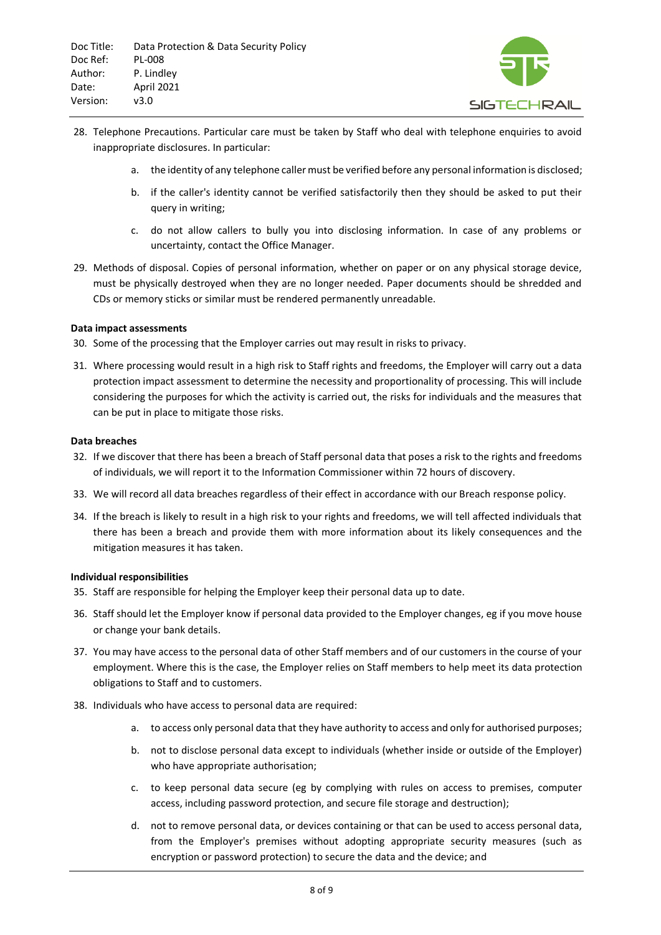

- 28. Telephone Precautions. Particular care must be taken by Staff who deal with telephone enquiries to avoid inappropriate disclosures. In particular:
	- a. the identity of any telephone caller must be verified before any personal information is disclosed;
	- b. if the caller's identity cannot be verified satisfactorily then they should be asked to put their query in writing;
	- c. do not allow callers to bully you into disclosing information. In case of any problems or uncertainty, contact the Office Manager.
- 29. Methods of disposal. Copies of personal information, whether on paper or on any physical storage device, must be physically destroyed when they are no longer needed. Paper documents should be shredded and CDs or memory sticks or similar must be rendered permanently unreadable.

# **Data impact assessments**

- 30. Some of the processing that the Employer carries out may result in risks to privacy.
- 31. Where processing would result in a high risk to Staff rights and freedoms, the Employer will carry out a data protection impact assessment to determine the necessity and proportionality of processing. This will include considering the purposes for which the activity is carried out, the risks for individuals and the measures that can be put in place to mitigate those risks.

# **Data breaches**

- 32. If we discover that there has been a breach of Staff personal data that poses a risk to the rights and freedoms of individuals, we will report it to the Information Commissioner within 72 hours of discovery.
- 33. We will record all data breaches regardless of their effect in accordance with our Breach response policy.
- 34. If the breach is likely to result in a high risk to your rights and freedoms, we will tell affected individuals that there has been a breach and provide them with more information about its likely consequences and the mitigation measures it has taken.

#### **Individual responsibilities**

- 35. Staff are responsible for helping the Employer keep their personal data up to date.
- 36. Staff should let the Employer know if personal data provided to the Employer changes, eg if you move house or change your bank details.
- 37. You may have access to the personal data of other Staff members and of our customers in the course of your employment. Where this is the case, the Employer relies on Staff members to help meet its data protection obligations to Staff and to customers.
- 38. Individuals who have access to personal data are required:
	- a. to access only personal data that they have authority to access and only for authorised purposes;
	- b. not to disclose personal data except to individuals (whether inside or outside of the Employer) who have appropriate authorisation;
	- c. to keep personal data secure (eg by complying with rules on access to premises, computer access, including password protection, and secure file storage and destruction);
	- d. not to remove personal data, or devices containing or that can be used to access personal data, from the Employer's premises without adopting appropriate security measures (such as encryption or password protection) to secure the data and the device; and